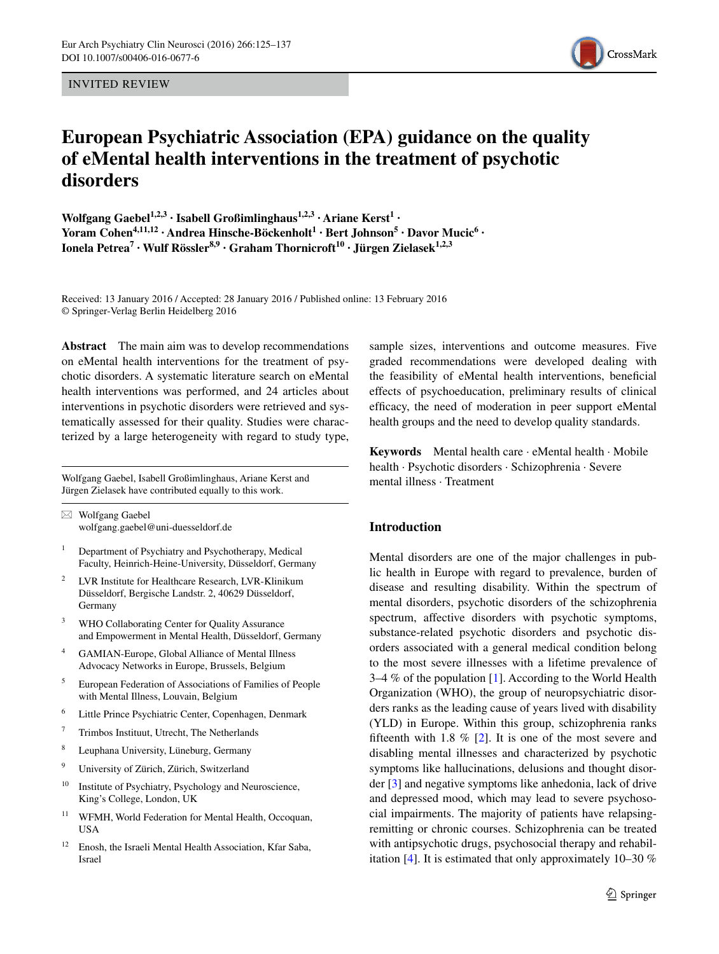INVITED REVIEW



# **European Psychiatric Association (EPA) guidance on the quality of eMental health interventions in the treatment of psychotic disorders**

**Wolfgang**  $\text{Gaebel}^{1,2,3}$  **· Isabell**  $\text{Großimlinghaus}^{1,2,3}$  **· Ariane**  $\text{Kerst}^{1}$  **· Yoram Cohen4,11,12 · Andrea Hinsche‑Böckenholt1 · Bert Johnson5 · Davor Mucic6 · Ionela Petrea<sup>7</sup> · Wulf Rössler8,9 · Graham Thornicroft10 · Jürgen Zielasek1,2,3**

Received: 13 January 2016 / Accepted: 28 January 2016 / Published online: 13 February 2016 © Springer-Verlag Berlin Heidelberg 2016

**Abstract** The main aim was to develop recommendations on eMental health interventions for the treatment of psychotic disorders. A systematic literature search on eMental health interventions was performed, and 24 articles about interventions in psychotic disorders were retrieved and systematically assessed for their quality. Studies were characterized by a large heterogeneity with regard to study type,

Wolfgang Gaebel, Isabell Großimlinghaus, Ariane Kerst and Jürgen Zielasek have contributed equally to this work.

 $\boxtimes$  Wolfgang Gaebel wolfgang.gaebel@uni-duesseldorf.de

- <sup>1</sup> Department of Psychiatry and Psychotherapy, Medical Faculty, Heinrich-Heine-University, Düsseldorf, Germany
- LVR Institute for Healthcare Research, LVR-Klinikum Düsseldorf, Bergische Landstr. 2, 40629 Düsseldorf, Germany
- <sup>3</sup> WHO Collaborating Center for Quality Assurance and Empowerment in Mental Health, Düsseldorf, Germany
- <sup>4</sup> GAMIAN-Europe, Global Alliance of Mental Illness Advocacy Networks in Europe, Brussels, Belgium
- <sup>5</sup> European Federation of Associations of Families of People with Mental Illness, Louvain, Belgium
- <sup>6</sup> Little Prince Psychiatric Center, Copenhagen, Denmark
- <sup>7</sup> Trimbos Instituut, Utrecht, The Netherlands
- <sup>8</sup> Leuphana University, Lüneburg, Germany
- <sup>9</sup> University of Zürich, Zürich, Switzerland
- <sup>10</sup> Institute of Psychiatry, Psychology and Neuroscience, King's College, London, UK
- <sup>11</sup> WFMH, World Federation for Mental Health, Occoquan, USA
- <sup>12</sup> Enosh, the Israeli Mental Health Association, Kfar Saba, Israel

sample sizes, interventions and outcome measures. Five graded recommendations were developed dealing with the feasibility of eMental health interventions, beneficial effects of psychoeducation, preliminary results of clinical efficacy, the need of moderation in peer support eMental health groups and the need to develop quality standards.

**Keywords** Mental health care · eMental health · Mobile health · Psychotic disorders · Schizophrenia · Severe mental illness · Treatment

# **Introduction**

Mental disorders are one of the major challenges in public health in Europe with regard to prevalence, burden of disease and resulting disability. Within the spectrum of mental disorders, psychotic disorders of the schizophrenia spectrum, affective disorders with psychotic symptoms, substance-related psychotic disorders and psychotic disorders associated with a general medical condition belong to the most severe illnesses with a lifetime prevalence of 3–4 % of the population [\[1](#page-11-0)]. According to the World Health Organization (WHO), the group of neuropsychiatric disorders ranks as the leading cause of years lived with disability (YLD) in Europe. Within this group, schizophrenia ranks fifteenth with 1.8  $\%$  [\[2](#page-11-1)]. It is one of the most severe and disabling mental illnesses and characterized by psychotic symptoms like hallucinations, delusions and thought disorder [[3\]](#page-11-2) and negative symptoms like anhedonia, lack of drive and depressed mood, which may lead to severe psychosocial impairments. The majority of patients have relapsingremitting or chronic courses. Schizophrenia can be treated with antipsychotic drugs, psychosocial therapy and rehabilitation [[4\]](#page-11-3). It is estimated that only approximately 10–30 %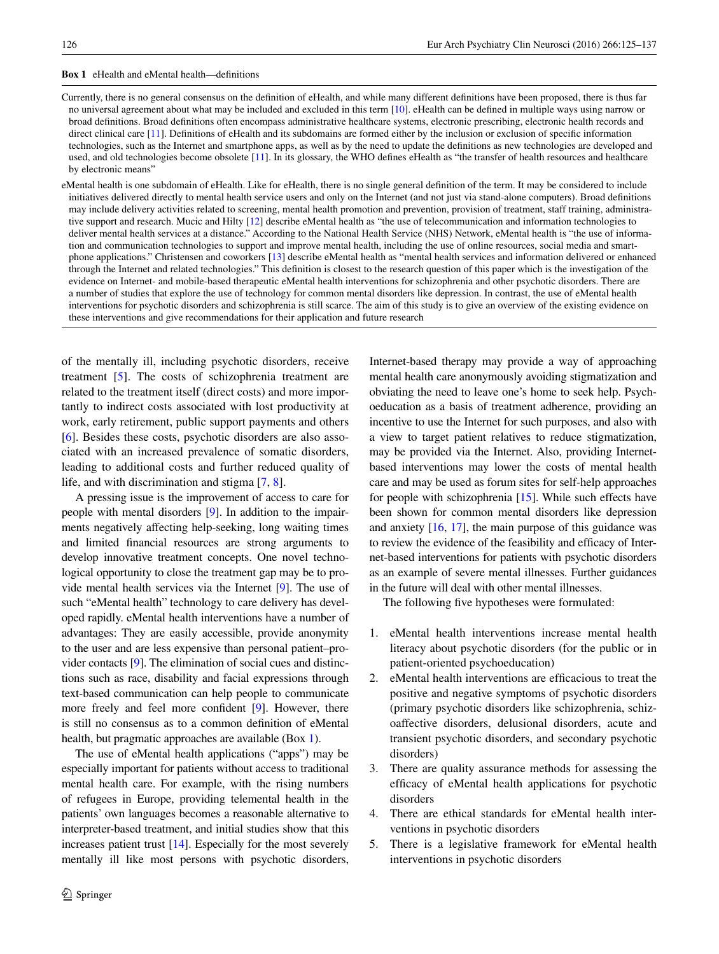#### <span id="page-1-0"></span>**Box 1** eHealth and eMental health—definitions

Currently, there is no general consensus on the definition of eHealth, and while many different definitions have been proposed, there is thus far no universal agreement about what may be included and excluded in this term [[10](#page-11-13)]. eHealth can be defined in multiple ways using narrow or broad definitions. Broad definitions often encompass administrative healthcare systems, electronic prescribing, electronic health records and direct clinical care [[11](#page-11-14)]. Definitions of eHealth and its subdomains are formed either by the inclusion or exclusion of specific information technologies, such as the Internet and smartphone apps, as well as by the need to update the definitions as new technologies are developed and used, and old technologies become obsolete [\[11\]](#page-11-14). In its glossary, the WHO defines eHealth as "the transfer of health resources and healthcare by electronic means"

eMental health is one subdomain of eHealth. Like for eHealth, there is no single general definition of the term. It may be considered to include initiatives delivered directly to mental health service users and only on the Internet (and not just via stand-alone computers). Broad definitions may include delivery activities related to screening, mental health promotion and prevention, provision of treatment, staff training, administrative support and research. Mucic and Hilty [[12](#page-11-15)] describe eMental health as "the use of telecommunication and information technologies to deliver mental health services at a distance." According to the National Health Service (NHS) Network, eMental health is "the use of information and communication technologies to support and improve mental health, including the use of online resources, social media and smartphone applications." Christensen and coworkers [\[13\]](#page-11-16) describe eMental health as "mental health services and information delivered or enhanced through the Internet and related technologies." This definition is closest to the research question of this paper which is the investigation of the evidence on Internet- and mobile-based therapeutic eMental health interventions for schizophrenia and other psychotic disorders. There are a number of studies that explore the use of technology for common mental disorders like depression. In contrast, the use of eMental health interventions for psychotic disorders and schizophrenia is still scarce. The aim of this study is to give an overview of the existing evidence on these interventions and give recommendations for their application and future research

of the mentally ill, including psychotic disorders, receive treatment [\[5](#page-11-4)]. The costs of schizophrenia treatment are related to the treatment itself (direct costs) and more importantly to indirect costs associated with lost productivity at work, early retirement, public support payments and others [\[6](#page-11-5)]. Besides these costs, psychotic disorders are also associated with an increased prevalence of somatic disorders, leading to additional costs and further reduced quality of life, and with discrimination and stigma [\[7](#page-11-6), [8](#page-11-7)].

A pressing issue is the improvement of access to care for people with mental disorders [[9](#page-11-8)]. In addition to the impairments negatively affecting help-seeking, long waiting times and limited financial resources are strong arguments to develop innovative treatment concepts. One novel technological opportunity to close the treatment gap may be to provide mental health services via the Internet [[9\]](#page-11-8). The use of such "eMental health" technology to care delivery has developed rapidly. eMental health interventions have a number of advantages: They are easily accessible, provide anonymity to the user and are less expensive than personal patient–provider contacts [\[9\]](#page-11-8). The elimination of social cues and distinctions such as race, disability and facial expressions through text-based communication can help people to communicate more freely and feel more confident [[9\]](#page-11-8). However, there is still no consensus as to a common definition of eMental health, but pragmatic approaches are available (Box [1\)](#page-1-0).

The use of eMental health applications ("apps") may be especially important for patients without access to traditional mental health care. For example, with the rising numbers of refugees in Europe, providing telemental health in the patients' own languages becomes a reasonable alternative to interpreter-based treatment, and initial studies show that this increases patient trust [\[14\]](#page-11-9). Especially for the most severely mentally ill like most persons with psychotic disorders, Internet-based therapy may provide a way of approaching mental health care anonymously avoiding stigmatization and obviating the need to leave one's home to seek help. Psychoeducation as a basis of treatment adherence, providing an incentive to use the Internet for such purposes, and also with a view to target patient relatives to reduce stigmatization, may be provided via the Internet. Also, providing Internetbased interventions may lower the costs of mental health care and may be used as forum sites for self-help approaches for people with schizophrenia [[15\]](#page-11-10). While such effects have been shown for common mental disorders like depression and anxiety  $[16, 17]$  $[16, 17]$  $[16, 17]$  $[16, 17]$ , the main purpose of this guidance was to review the evidence of the feasibility and efficacy of Internet-based interventions for patients with psychotic disorders as an example of severe mental illnesses. Further guidances in the future will deal with other mental illnesses.

The following five hypotheses were formulated:

- 1. eMental health interventions increase mental health literacy about psychotic disorders (for the public or in patient-oriented psychoeducation)
- 2. eMental health interventions are efficacious to treat the positive and negative symptoms of psychotic disorders (primary psychotic disorders like schizophrenia, schizoaffective disorders, delusional disorders, acute and transient psychotic disorders, and secondary psychotic disorders)
- 3. There are quality assurance methods for assessing the efficacy of eMental health applications for psychotic disorders
- 4. There are ethical standards for eMental health interventions in psychotic disorders
- 5. There is a legislative framework for eMental health interventions in psychotic disorders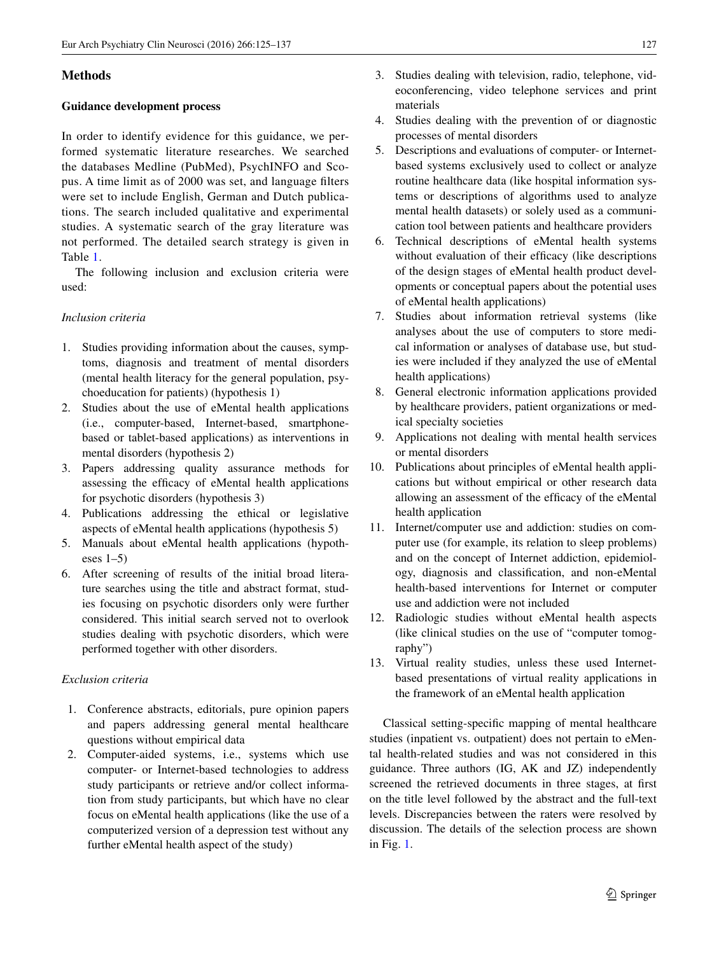# **Methods**

# **Guidance development process**

In order to identify evidence for this guidance, we performed systematic literature researches. We searched the databases Medline (PubMed), PsychINFO and Scopus. A time limit as of 2000 was set, and language filters were set to include English, German and Dutch publications. The search included qualitative and experimental studies. A systematic search of the gray literature was not performed. The detailed search strategy is given in Table [1.](#page-3-0)

The following inclusion and exclusion criteria were used:

# *Inclusion criteria*

- 1. Studies providing information about the causes, symptoms, diagnosis and treatment of mental disorders (mental health literacy for the general population, psychoeducation for patients) (hypothesis 1)
- 2. Studies about the use of eMental health applications (i.e., computer-based, Internet-based, smartphonebased or tablet-based applications) as interventions in mental disorders (hypothesis 2)
- 3. Papers addressing quality assurance methods for assessing the efficacy of eMental health applications for psychotic disorders (hypothesis 3)
- 4. Publications addressing the ethical or legislative aspects of eMental health applications (hypothesis 5)
- 5. Manuals about eMental health applications (hypotheses  $1-5$ )
- 6. After screening of results of the initial broad literature searches using the title and abstract format, studies focusing on psychotic disorders only were further considered. This initial search served not to overlook studies dealing with psychotic disorders, which were performed together with other disorders.

# *Exclusion criteria*

- 1. Conference abstracts, editorials, pure opinion papers and papers addressing general mental healthcare questions without empirical data
- 2. Computer-aided systems, i.e., systems which use computer- or Internet-based technologies to address study participants or retrieve and/or collect information from study participants, but which have no clear focus on eMental health applications (like the use of a computerized version of a depression test without any further eMental health aspect of the study)
- 3. Studies dealing with television, radio, telephone, videoconferencing, video telephone services and print materials
- 4. Studies dealing with the prevention of or diagnostic processes of mental disorders
- 5. Descriptions and evaluations of computer- or Internetbased systems exclusively used to collect or analyze routine healthcare data (like hospital information systems or descriptions of algorithms used to analyze mental health datasets) or solely used as a communication tool between patients and healthcare providers
- 6. Technical descriptions of eMental health systems without evaluation of their efficacy (like descriptions of the design stages of eMental health product developments or conceptual papers about the potential uses of eMental health applications)
- 7. Studies about information retrieval systems (like analyses about the use of computers to store medical information or analyses of database use, but studies were included if they analyzed the use of eMental health applications)
- 8. General electronic information applications provided by healthcare providers, patient organizations or medical specialty societies
- 9. Applications not dealing with mental health services or mental disorders
- 10. Publications about principles of eMental health applications but without empirical or other research data allowing an assessment of the efficacy of the eMental health application
- 11. Internet/computer use and addiction: studies on computer use (for example, its relation to sleep problems) and on the concept of Internet addiction, epidemiology, diagnosis and classification, and non-eMental health-based interventions for Internet or computer use and addiction were not included
- 12. Radiologic studies without eMental health aspects (like clinical studies on the use of "computer tomography")
- 13. Virtual reality studies, unless these used Internetbased presentations of virtual reality applications in the framework of an eMental health application

Classical setting-specific mapping of mental healthcare studies (inpatient vs. outpatient) does not pertain to eMental health-related studies and was not considered in this guidance. Three authors (IG, AK and JZ) independently screened the retrieved documents in three stages, at first on the title level followed by the abstract and the full-text levels. Discrepancies between the raters were resolved by discussion. The details of the selection process are shown in Fig. [1.](#page-4-0)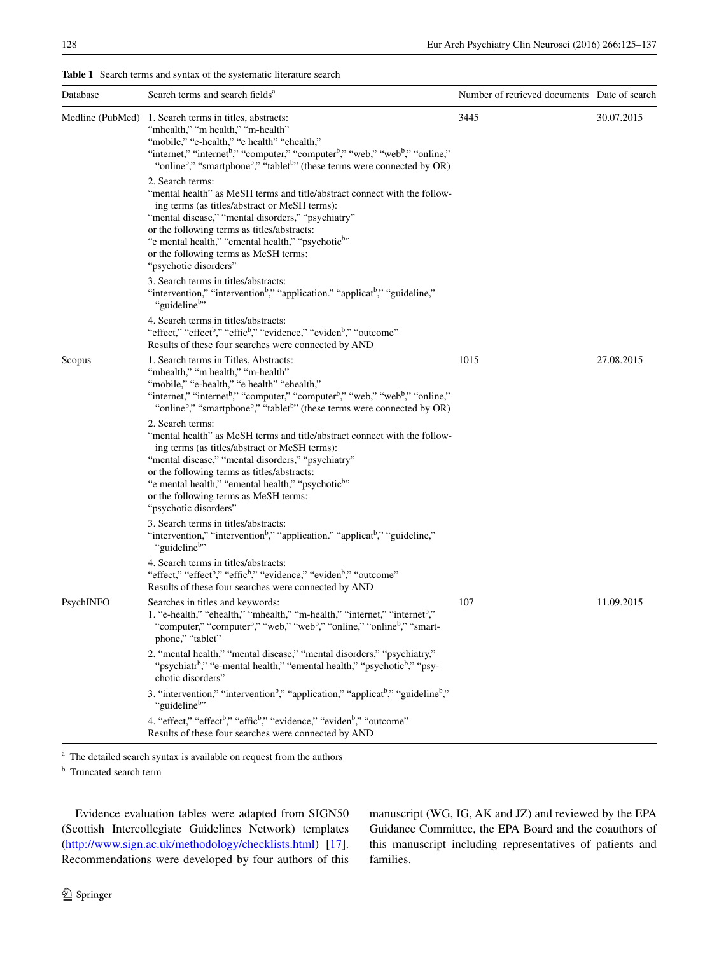| Database  | Search terms and search fields <sup>a</sup>                                                                                                                                                                                                                                                                                                                                             | Number of retrieved documents Date of search |            |
|-----------|-----------------------------------------------------------------------------------------------------------------------------------------------------------------------------------------------------------------------------------------------------------------------------------------------------------------------------------------------------------------------------------------|----------------------------------------------|------------|
|           | Medline (PubMed) 1. Search terms in titles, abstracts:<br>"mhealth," "m health," "m-health"<br>"mobile," "e-health," "e health" "ehealth,"<br>"internet," "internet", "computer," "computer", "web," "web", "online,"<br>"online <sup>b</sup> ," "smartphone <sup>b</sup> ," "tablet <sup>b</sup> " (these terms were connected by OR)                                                  | 3445                                         | 30.07.2015 |
|           | 2. Search terms:<br>"mental health" as MeSH terms and title/abstract connect with the follow-<br>ing terms (as titles/abstract or MeSH terms):<br>"mental disease," "mental disorders," "psychiatry"<br>or the following terms as titles/abstracts:<br>"e mental health," "emental health," "psychotic <sup>b</sup> "<br>or the following terms as MeSH terms:<br>"psychotic disorders" |                                              |            |
|           | 3. Search terms in titles/abstracts:<br>"intervention," "intervention <sup>b</sup> ," "application." "applicat <sup>b</sup> ," "guideline,"<br>"guideline <sup>b</sup> "                                                                                                                                                                                                                |                                              |            |
|           | 4. Search terms in titles/abstracts:<br>"effect," "effect <sup>b</sup> ," "effic <sup>b</sup> ," "evidence," "eviden <sup>b</sup> ," "outcome"<br>Results of these four searches were connected by AND                                                                                                                                                                                  |                                              |            |
| Scopus    | 1. Search terms in Titles, Abstracts:<br>"mhealth," "m health," "m-health"<br>"mobile," "e-health," "e health" "ehealth,"<br>"internet," "internet"," "computer," "computer", "web," "web", "online,"<br>"online <sup>b</sup> ," "smartphone <sup>b</sup> ," "tablet <sup>b</sup> " (these terms were connected by OR)                                                                  | 1015                                         | 27.08.2015 |
|           | 2. Search terms:<br>"mental health" as MeSH terms and title/abstract connect with the follow-<br>ing terms (as titles/abstract or MeSH terms):<br>"mental disease," "mental disorders," "psychiatry"<br>or the following terms as titles/abstracts:<br>"e mental health," "emental health," "psychotic <sup>b</sup> "<br>or the following terms as MeSH terms:<br>"psychotic disorders" |                                              |            |
|           | 3. Search terms in titles/abstracts:<br>"intervention," "intervention <sup>b</sup> ," "application." "applicat <sup>b</sup> ," "guideline,"<br>"guideline"                                                                                                                                                                                                                              |                                              |            |
|           | 4. Search terms in titles/abstracts:<br>"effect," "effect"," "effic"," "evidence," "eviden", "outcome"<br>Results of these four searches were connected by AND                                                                                                                                                                                                                          |                                              |            |
| PsychINFO | Searches in titles and keywords:<br>1. "e-health," "ehealth," "mhealth," "m-health," "internet," "internet","<br>"computer," "computer <sup>b</sup> ," "web," "web"," "online," "online <sup>b</sup> ," "smart-<br>phone," "tablet"                                                                                                                                                     | 107                                          | 11.09.2015 |
|           | 2. "mental health," "mental disease," "mental disorders," "psychiatry,"<br>"psychiatr <sup>b</sup> ," "e-mental health," "emental health," "psychotic <sup>b</sup> ," "psy-<br>chotic disorders"                                                                                                                                                                                        |                                              |            |
|           | 3. "intervention," "intervention <sup>b</sup> ," "application," "applicat <sup>b</sup> ," "guideline <sup>b</sup> ,"<br>"guideline <sup>b</sup> "                                                                                                                                                                                                                                       |                                              |            |
|           | 4. "effect," "effect"," "effic <sup>b</sup> ," "evidence," "eviden <sup>b</sup> ," "outcome"<br>Results of these four searches were connected by AND                                                                                                                                                                                                                                    |                                              |            |

<span id="page-3-0"></span>**Table 1** Search terms and syntax of the systematic literature search

<sup>a</sup> The detailed search syntax is available on request from the authors

**b** Truncated search term

Evidence evaluation tables were adapted from SIGN50 (Scottish Intercollegiate Guidelines Network) templates [\(http://www.sign.ac.uk/methodology/checklists.html\)](http://www.sign.ac.uk/methodology/checklists.html) [\[17](#page-11-12)]. Recommendations were developed by four authors of this

<sup>2</sup> Springer

manuscript (WG, IG, AK and JZ) and reviewed by the EPA Guidance Committee, the EPA Board and the coauthors of this manuscript including representatives of patients and families.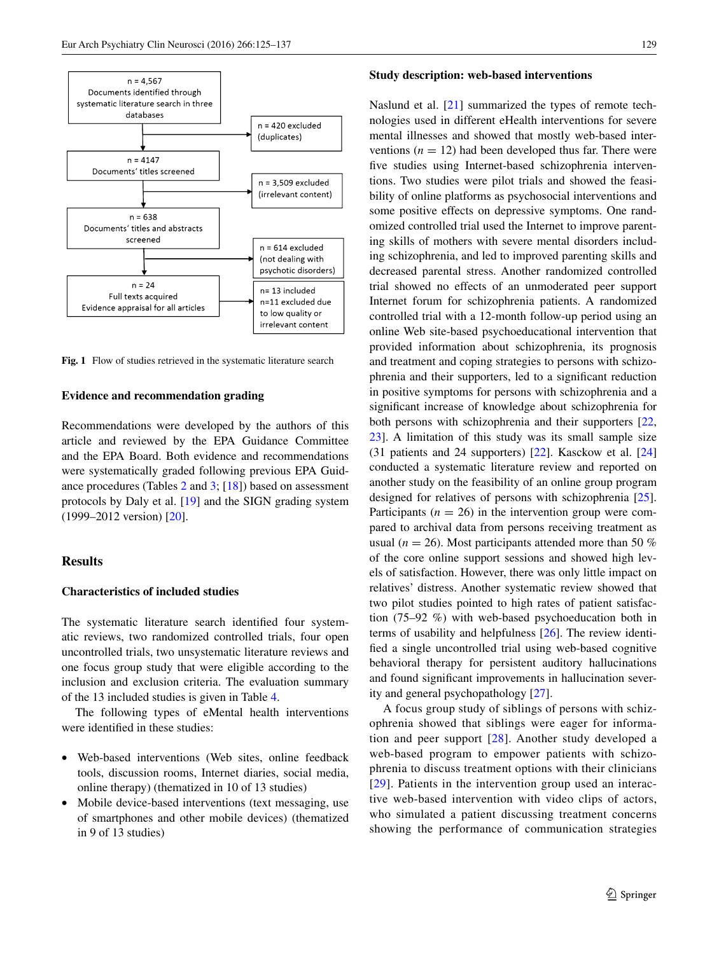

<span id="page-4-0"></span>**Fig. 1** Flow of studies retrieved in the systematic literature search

#### <span id="page-4-1"></span>**Evidence and recommendation grading**

Recommendations were developed by the authors of this article and reviewed by the EPA Guidance Committee and the EPA Board. Both evidence and recommendations were systematically graded following previous EPA Guidance procedures (Tables [2](#page-5-0) and [3](#page-6-0); [[18\]](#page-11-17)) based on assessment protocols by Daly et al. [[19\]](#page-11-18) and the SIGN grading system (1999–2012 version) [\[20](#page-11-19)].

## **Results**

#### **Characteristics of included studies**

The systematic literature search identified four systematic reviews, two randomized controlled trials, four open uncontrolled trials, two unsystematic literature reviews and one focus group study that were eligible according to the inclusion and exclusion criteria. The evaluation summary of the 13 included studies is given in Table [4](#page-7-0).

The following types of eMental health interventions were identified in these studies:

- Web-based interventions (Web sites, online feedback tools, discussion rooms, Internet diaries, social media, online therapy) (thematized in 10 of 13 studies)
- Mobile device-based interventions (text messaging, use of smartphones and other mobile devices) (thematized in 9 of 13 studies)

#### **Study description: web‑based interventions**

Naslund et al. [[21\]](#page-12-0) summarized the types of remote technologies used in different eHealth interventions for severe mental illnesses and showed that mostly web-based interventions  $(n = 12)$  had been developed thus far. There were five studies using Internet-based schizophrenia interventions. Two studies were pilot trials and showed the feasibility of online platforms as psychosocial interventions and some positive effects on depressive symptoms. One randomized controlled trial used the Internet to improve parenting skills of mothers with severe mental disorders including schizophrenia, and led to improved parenting skills and decreased parental stress. Another randomized controlled trial showed no effects of an unmoderated peer support Internet forum for schizophrenia patients. A randomized controlled trial with a 12-month follow-up period using an online Web site-based psychoeducational intervention that provided information about schizophrenia, its prognosis and treatment and coping strategies to persons with schizophrenia and their supporters, led to a significant reduction in positive symptoms for persons with schizophrenia and a significant increase of knowledge about schizophrenia for both persons with schizophrenia and their supporters [[22,](#page-12-1) [23](#page-12-2)]. A limitation of this study was its small sample size (31 patients and 24 supporters) [[22\]](#page-12-1). Kasckow et al. [[24\]](#page-12-3) conducted a systematic literature review and reported on another study on the feasibility of an online group program designed for relatives of persons with schizophrenia [\[25](#page-12-4)]. Participants ( $n = 26$ ) in the intervention group were compared to archival data from persons receiving treatment as usual ( $n = 26$ ). Most participants attended more than 50 % of the core online support sessions and showed high levels of satisfaction. However, there was only little impact on relatives' distress. Another systematic review showed that two pilot studies pointed to high rates of patient satisfaction (75–92 %) with web-based psychoeducation both in terms of usability and helpfulness [[26\]](#page-12-5). The review identified a single uncontrolled trial using web-based cognitive behavioral therapy for persistent auditory hallucinations and found significant improvements in hallucination severity and general psychopathology [\[27](#page-12-6)].

A focus group study of siblings of persons with schizophrenia showed that siblings were eager for information and peer support [\[28\]](#page-12-7). Another study developed a web-based program to empower patients with schizophrenia to discuss treatment options with their clinicians [[29](#page-12-8)]. Patients in the intervention group used an interactive web-based intervention with video clips of actors, who simulated a patient discussing treatment concerns showing the performance of communication strategies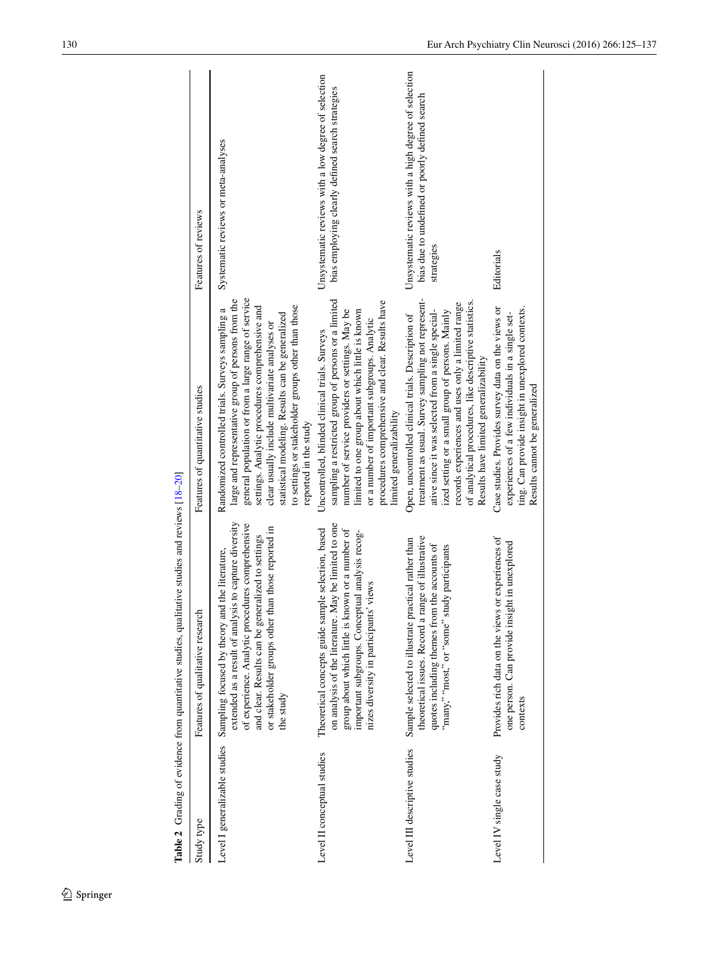|                               | <b>Transfer 2</b> and the contract of the contract of the contract of the contract of $\alpha$ is the contract of $\alpha$ of $\alpha$                                                                                                                                                                            |                                                                                                                                                                                                                                                                                                                                                                                                       |                                                                                                                      |
|-------------------------------|-------------------------------------------------------------------------------------------------------------------------------------------------------------------------------------------------------------------------------------------------------------------------------------------------------------------|-------------------------------------------------------------------------------------------------------------------------------------------------------------------------------------------------------------------------------------------------------------------------------------------------------------------------------------------------------------------------------------------------------|----------------------------------------------------------------------------------------------------------------------|
| Study type                    | Features of qualitative research                                                                                                                                                                                                                                                                                  | Features of quantitative studies                                                                                                                                                                                                                                                                                                                                                                      | Features of reviews                                                                                                  |
|                               | extended as a result of analysis to capture diversity<br>of experience. Analytic procedures comprehensive<br>or stakeholder groups other than those reported in<br>and clear. Results can be generalized to settings<br>Level I generalizable studies Sampling focused by theory and the literature,<br>the study | general population or from a large range of service<br>large and representative group of persons from the<br>to settings or stakeholder groups other than those<br>settings. Analytic procedures comprehensive and<br>Randomized controlled trials. Surveys sampling a<br>statistical modeling. Results can be generalized<br>clear usually include multivariate analyses or<br>reported in the study | Systematic reviews or meta-analyses                                                                                  |
| Level II conceptual studies   | on analysis of the literature. May be limited to one<br>Theoretical concepts guide sample selection, based<br>group about which little is known or a number of<br>important subgroups. Conceptual analysis recog-<br>views<br>nizes diversity in participants'                                                    | sampling a restricted group of persons or a limited<br>procedures comprehensive and clear. Results have<br>limited to one group about which little is known<br>number of service providers or settings. May be<br>or a number of important subgroups. Analytic<br>Uncontrolled, blinded clinical trials. Surveys<br>limited generalizability                                                          | Unsystematic reviews with a low degree of selection<br>bias employing clearly defined search strategies              |
| Level III descriptive studies | theoretical issues. Record a range of illustrative<br>Sample selected to illustrate practical rather than<br>quotes including themes from the accounts of<br>"many," "most," or "some" study participants"                                                                                                        | treatment as usual. Survey sampling not represent-<br>of analytical procedures, like descriptive statistics.<br>records experiences and uses only a limited range<br>ative since it was selected from a single special-<br>ized setting or a small group of persons. Mainly<br>Open, uncontrolled clinical trials. Description of<br>Results have limited generalizability                            | Unsystematic reviews with a high degree of selection<br>bias due to undefined or poorly defined search<br>strategies |
| Level IV single case study    | Provides rich data on the views or experiences of<br>one person. Can provide insight in unexplored<br>contexts                                                                                                                                                                                                    | Case studies. Provides survey data on the views or<br>ting. Can provide insight in unexplored contexts.<br>experiences of a few individuals in a single set-<br>Results cannot be generalized                                                                                                                                                                                                         | Editorials                                                                                                           |

<span id="page-5-0"></span> $18 - 201$ **Table 2** Grading of evidence from quantitative studies, qualitative studies and reviews [\[18](#page-11-17)[–20](#page-11-19)] j.  $\overline{\text{a}^{\text{linear}}}$ Ŕ  $\ddot{\phantom{0}}$  $\ddot{\phantom{0}}$  $\ddot{\phantom{0}}$ Table 2. Grading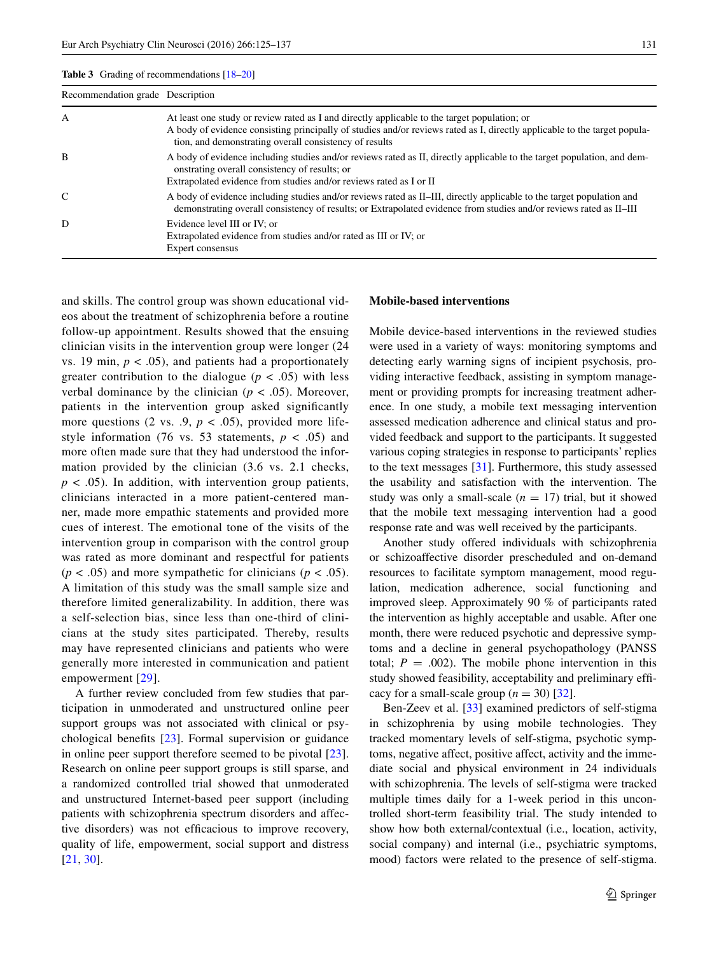#### <span id="page-6-0"></span>**Table 3** Grading of recommendations [\[18–](#page-11-17)[20\]](#page-11-19)

| Recommendation grade Description |                                                                                                                                                                                                                                                                                     |
|----------------------------------|-------------------------------------------------------------------------------------------------------------------------------------------------------------------------------------------------------------------------------------------------------------------------------------|
| A                                | At least one study or review rated as I and directly applicable to the target population; or<br>A body of evidence consisting principally of studies and/or reviews rated as I, directly applicable to the target popula-<br>tion, and demonstrating overall consistency of results |
| B                                | A body of evidence including studies and/or reviews rated as II, directly applicable to the target population, and dem-<br>onstrating overall consistency of results; or<br>Extrapolated evidence from studies and/or reviews rated as I or II                                      |
| $\mathcal{C}$                    | A body of evidence including studies and/or reviews rated as II–III, directly applicable to the target population and<br>demonstrating overall consistency of results; or Extrapolated evidence from studies and/or reviews rated as II-III                                         |
| D                                | Evidence level III or IV: or<br>Extrapolated evidence from studies and/or rated as III or IV; or<br>Expert consensus                                                                                                                                                                |

and skills. The control group was shown educational videos about the treatment of schizophrenia before a routine follow-up appointment. Results showed that the ensuing clinician visits in the intervention group were longer (24 vs. 19 min,  $p < .05$ ), and patients had a proportionately greater contribution to the dialogue ( $p < .05$ ) with less verbal dominance by the clinician ( $p < .05$ ). Moreover, patients in the intervention group asked significantly more questions  $(2 \text{ vs. } 0, p < 0.05)$ , provided more lifestyle information (76 vs. 53 statements,  $p < .05$ ) and more often made sure that they had understood the information provided by the clinician (3.6 vs. 2.1 checks,  $p < .05$ ). In addition, with intervention group patients, clinicians interacted in a more patient-centered manner, made more empathic statements and provided more cues of interest. The emotional tone of the visits of the intervention group in comparison with the control group was rated as more dominant and respectful for patients  $(p < .05)$  and more sympathetic for clinicians  $(p < .05)$ . A limitation of this study was the small sample size and therefore limited generalizability. In addition, there was a self-selection bias, since less than one-third of clinicians at the study sites participated. Thereby, results may have represented clinicians and patients who were generally more interested in communication and patient empowerment [\[29\]](#page-12-8).

A further review concluded from few studies that participation in unmoderated and unstructured online peer support groups was not associated with clinical or psychological benefits [\[23](#page-12-2)]. Formal supervision or guidance in online peer support therefore seemed to be pivotal [\[23](#page-12-2)]. Research on online peer support groups is still sparse, and a randomized controlled trial showed that unmoderated and unstructured Internet-based peer support (including patients with schizophrenia spectrum disorders and affective disorders) was not efficacious to improve recovery, quality of life, empowerment, social support and distress [\[21,](#page-12-0) [30\]](#page-12-9).

## **Mobile‑based interventions**

Mobile device-based interventions in the reviewed studies were used in a variety of ways: monitoring symptoms and detecting early warning signs of incipient psychosis, providing interactive feedback, assisting in symptom management or providing prompts for increasing treatment adherence. In one study, a mobile text messaging intervention assessed medication adherence and clinical status and provided feedback and support to the participants. It suggested various coping strategies in response to participants' replies to the text messages [\[31](#page-12-10)]. Furthermore, this study assessed the usability and satisfaction with the intervention. The study was only a small-scale  $(n = 17)$  trial, but it showed that the mobile text messaging intervention had a good response rate and was well received by the participants.

Another study offered individuals with schizophrenia or schizoaffective disorder prescheduled and on-demand resources to facilitate symptom management, mood regulation, medication adherence, social functioning and improved sleep. Approximately 90 % of participants rated the intervention as highly acceptable and usable. After one month, there were reduced psychotic and depressive symptoms and a decline in general psychopathology (PANSS total;  $P = .002$ ). The mobile phone intervention in this study showed feasibility, acceptability and preliminary efficacy for a small-scale group  $(n = 30)$  [[32\]](#page-12-11).

Ben-Zeev et al. [[33\]](#page-12-12) examined predictors of self-stigma in schizophrenia by using mobile technologies. They tracked momentary levels of self-stigma, psychotic symptoms, negative affect, positive affect, activity and the immediate social and physical environment in 24 individuals with schizophrenia. The levels of self-stigma were tracked multiple times daily for a 1-week period in this uncontrolled short-term feasibility trial. The study intended to show how both external/contextual (i.e., location, activity, social company) and internal (i.e., psychiatric symptoms, mood) factors were related to the presence of self-stigma.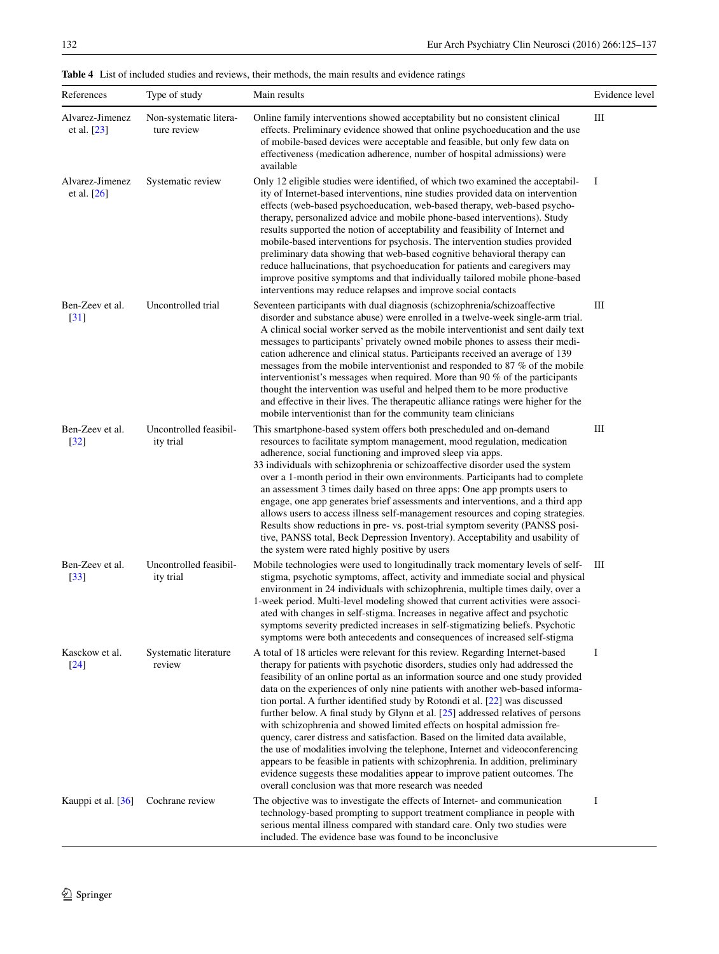<span id="page-7-0"></span>**Table 4** List of included studies and reviews, their methods, the main results and evidence ratings

| References                           | Type of study                         | Main results                                                                                                                                                                                                                                                                                                                                                                                                                                                                                                                                                                                                                                                                                                                                                                                                                                                                                                                                                                     | Evidence level |
|--------------------------------------|---------------------------------------|----------------------------------------------------------------------------------------------------------------------------------------------------------------------------------------------------------------------------------------------------------------------------------------------------------------------------------------------------------------------------------------------------------------------------------------------------------------------------------------------------------------------------------------------------------------------------------------------------------------------------------------------------------------------------------------------------------------------------------------------------------------------------------------------------------------------------------------------------------------------------------------------------------------------------------------------------------------------------------|----------------|
| Alvarez-Jimenez<br>et al. $[23]$     | Non-systematic litera-<br>ture review | Online family interventions showed acceptability but no consistent clinical<br>effects. Preliminary evidence showed that online psychoeducation and the use<br>of mobile-based devices were acceptable and feasible, but only few data on<br>effectiveness (medication adherence, number of hospital admissions) were<br>available                                                                                                                                                                                                                                                                                                                                                                                                                                                                                                                                                                                                                                               | Ш              |
| Alvarez-Jimenez<br>et al. $[26]$     | Systematic review                     | Only 12 eligible studies were identified, of which two examined the acceptabil-<br>ity of Internet-based interventions, nine studies provided data on intervention<br>effects (web-based psychoeducation, web-based therapy, web-based psycho-<br>therapy, personalized advice and mobile phone-based interventions). Study<br>results supported the notion of acceptability and feasibility of Internet and<br>mobile-based interventions for psychosis. The intervention studies provided<br>preliminary data showing that web-based cognitive behavioral therapy can<br>reduce hallucinations, that psychoeducation for patients and caregivers may<br>improve positive symptoms and that individually tailored mobile phone-based<br>interventions may reduce relapses and improve social contacts                                                                                                                                                                           | I              |
| Ben-Zeev et al.<br>$\left[31\right]$ | Uncontrolled trial                    | Seventeen participants with dual diagnosis (schizophrenia/schizoaffective<br>disorder and substance abuse) were enrolled in a twelve-week single-arm trial.<br>A clinical social worker served as the mobile interventionist and sent daily text<br>messages to participants' privately owned mobile phones to assess their medi-<br>cation adherence and clinical status. Participants received an average of 139<br>messages from the mobile interventionist and responded to 87 % of the mobile<br>interventionist's messages when required. More than 90 $%$ of the participants<br>thought the intervention was useful and helped them to be more productive<br>and effective in their lives. The therapeutic alliance ratings were higher for the<br>mobile interventionist than for the community team clinicians                                                                                                                                                         | Ш              |
| Ben-Zeev et al.<br>$[32]$            | Uncontrolled feasibil-<br>ity trial   | This smartphone-based system offers both prescheduled and on-demand<br>resources to facilitate symptom management, mood regulation, medication<br>adherence, social functioning and improved sleep via apps.<br>33 individuals with schizophrenia or schizoaffective disorder used the system<br>over a 1-month period in their own environments. Participants had to complete<br>an assessment 3 times daily based on three apps: One app prompts users to<br>engage, one app generates brief assessments and interventions, and a third app<br>allows users to access illness self-management resources and coping strategies.<br>Results show reductions in pre- vs. post-trial symptom severity (PANSS posi-<br>tive, PANSS total, Beck Depression Inventory). Acceptability and usability of<br>the system were rated highly positive by users                                                                                                                              | Ш              |
| Ben-Zeev et al.<br>$\left[33\right]$ | Uncontrolled feasibil-<br>ity trial   | Mobile technologies were used to longitudinally track momentary levels of self-<br>stigma, psychotic symptoms, affect, activity and immediate social and physical<br>environment in 24 individuals with schizophrenia, multiple times daily, over a<br>1-week period. Multi-level modeling showed that current activities were associ-<br>ated with changes in self-stigma. Increases in negative affect and psychotic<br>symptoms severity predicted increases in self-stigmatizing beliefs. Psychotic<br>symptoms were both antecedents and consequences of increased self-stigma                                                                                                                                                                                                                                                                                                                                                                                              | Ш              |
| Kasckow et al.<br>[24]               | Systematic literature<br>review       | A total of 18 articles were relevant for this review. Regarding Internet-based<br>therapy for patients with psychotic disorders, studies only had addressed the<br>feasibility of an online portal as an information source and one study provided<br>data on the experiences of only nine patients with another web-based informa-<br>tion portal. A further identified study by Rotondi et al. [22] was discussed<br>further below. A final study by Glynn et al. $[25]$ addressed relatives of persons<br>with schizophrenia and showed limited effects on hospital admission fre-<br>quency, carer distress and satisfaction. Based on the limited data available,<br>the use of modalities involving the telephone, Internet and videoconferencing<br>appears to be feasible in patients with schizophrenia. In addition, preliminary<br>evidence suggests these modalities appear to improve patient outcomes. The<br>overall conclusion was that more research was needed | I              |
| Kauppi et al. $[36]$                 | Cochrane review                       | The objective was to investigate the effects of Internet- and communication<br>technology-based prompting to support treatment compliance in people with<br>serious mental illness compared with standard care. Only two studies were<br>included. The evidence base was found to be inconclusive                                                                                                                                                                                                                                                                                                                                                                                                                                                                                                                                                                                                                                                                                | Ι              |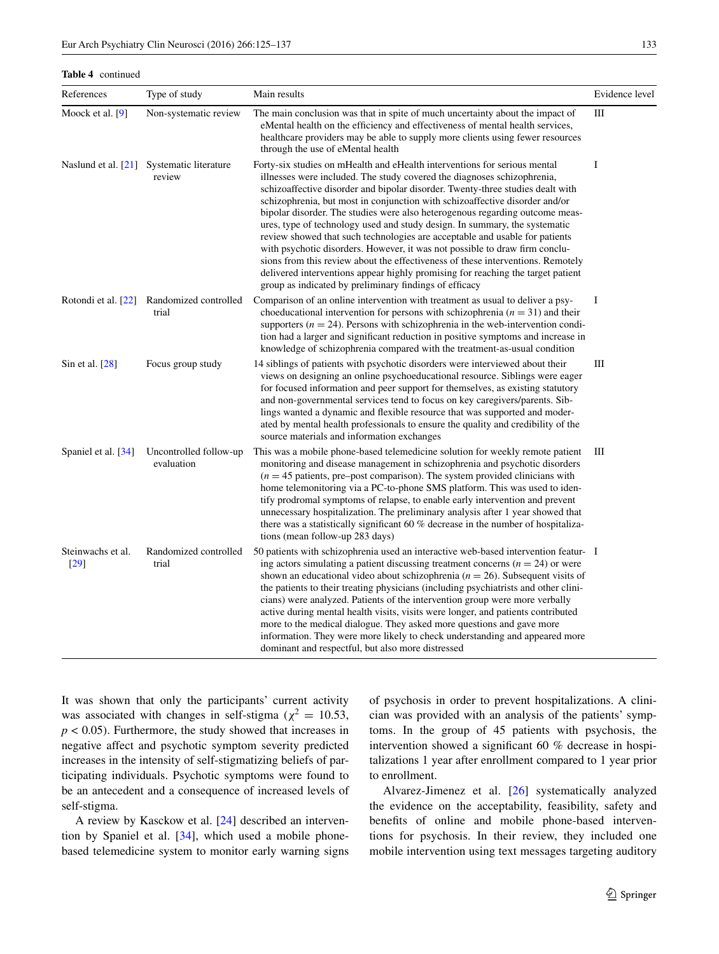| <b>Table 4</b> continued |  |
|--------------------------|--|
|--------------------------|--|

| References                  | Type of study                                       | Main results                                                                                                                                                                                                                                                                                                                                                                                                                                                                                                                                                                                                                                                                                                                                                                                                                                                                      | Evidence level |
|-----------------------------|-----------------------------------------------------|-----------------------------------------------------------------------------------------------------------------------------------------------------------------------------------------------------------------------------------------------------------------------------------------------------------------------------------------------------------------------------------------------------------------------------------------------------------------------------------------------------------------------------------------------------------------------------------------------------------------------------------------------------------------------------------------------------------------------------------------------------------------------------------------------------------------------------------------------------------------------------------|----------------|
| Moock et al. [9]            | Non-systematic review                               | The main conclusion was that in spite of much uncertainty about the impact of<br>eMental health on the efficiency and effectiveness of mental health services,<br>healthcare providers may be able to supply more clients using fewer resources<br>through the use of eMental health                                                                                                                                                                                                                                                                                                                                                                                                                                                                                                                                                                                              | Ш              |
|                             | Naslund et al. [21] Systematic literature<br>review | Forty-six studies on mHealth and eHealth interventions for serious mental<br>illnesses were included. The study covered the diagnoses schizophrenia,<br>schizoaffective disorder and bipolar disorder. Twenty-three studies dealt with<br>schizophrenia, but most in conjunction with schizoaffective disorder and/or<br>bipolar disorder. The studies were also heterogenous regarding outcome meas-<br>ures, type of technology used and study design. In summary, the systematic<br>review showed that such technologies are acceptable and usable for patients<br>with psychotic disorders. However, it was not possible to draw firm conclu-<br>sions from this review about the effectiveness of these interventions. Remotely<br>delivered interventions appear highly promising for reaching the target patient<br>group as indicated by preliminary findings of efficacy | $\mathbf I$    |
| Rotondi et al. [22]         | Randomized controlled<br>trial                      | Comparison of an online intervention with treatment as usual to deliver a psy-<br>choeducational intervention for persons with schizophrenia ( $n = 31$ ) and their<br>supporters ( $n = 24$ ). Persons with schizophrenia in the web-intervention condi-<br>tion had a larger and significant reduction in positive symptoms and increase in<br>knowledge of schizophrenia compared with the treatment-as-usual condition                                                                                                                                                                                                                                                                                                                                                                                                                                                        | Ι              |
| Sin et al. $[28]$           | Focus group study                                   | 14 siblings of patients with psychotic disorders were interviewed about their<br>views on designing an online psychoeducational resource. Siblings were eager<br>for focused information and peer support for themselves, as existing statutory<br>and non-governmental services tend to focus on key caregivers/parents. Sib-<br>lings wanted a dynamic and flexible resource that was supported and moder-<br>ated by mental health professionals to ensure the quality and credibility of the<br>source materials and information exchanges                                                                                                                                                                                                                                                                                                                                    | Ш              |
| Spaniel et al. [34]         | Uncontrolled follow-up<br>evaluation                | This was a mobile phone-based telemedicine solution for weekly remote patient<br>monitoring and disease management in schizophrenia and psychotic disorders<br>$(n = 45$ patients, pre-post comparison). The system provided clinicians with<br>home telemonitoring via a PC-to-phone SMS platform. This was used to iden-<br>tify prodromal symptoms of relapse, to enable early intervention and prevent<br>unnecessary hospitalization. The preliminary analysis after 1 year showed that<br>there was a statistically significant 60 $%$ decrease in the number of hospitaliza-<br>tions (mean follow-up 283 days)                                                                                                                                                                                                                                                            | Ш              |
| Steinwachs et al.<br>$[29]$ | Randomized controlled<br>trial                      | 50 patients with schizophrenia used an interactive web-based intervention featur- I<br>ing actors simulating a patient discussing treatment concerns $(n = 24)$ or were<br>shown an educational video about schizophrenia ( $n = 26$ ). Subsequent visits of<br>the patients to their treating physicians (including psychiatrists and other clini-<br>cians) were analyzed. Patients of the intervention group were more verbally<br>active during mental health visits, visits were longer, and patients contributed<br>more to the medical dialogue. They asked more questions and gave more<br>information. They were more likely to check understanding and appeared more<br>dominant and respectful, but also more distressed                                                                                                                                               |                |

It was shown that only the participants' current activity was associated with changes in self-stigma ( $\chi^2 = 10.53$ ,  $p < 0.05$ ). Furthermore, the study showed that increases in negative affect and psychotic symptom severity predicted increases in the intensity of self-stigmatizing beliefs of participating individuals. Psychotic symptoms were found to be an antecedent and a consequence of increased levels of self-stigma.

A review by Kasckow et al. [[24\]](#page-12-3) described an intervention by Spaniel et al. [[34\]](#page-12-14), which used a mobile phonebased telemedicine system to monitor early warning signs of psychosis in order to prevent hospitalizations. A clinician was provided with an analysis of the patients' symptoms. In the group of 45 patients with psychosis, the intervention showed a significant 60 % decrease in hospitalizations 1 year after enrollment compared to 1 year prior to enrollment.

Alvarez-Jimenez et al. [[26\]](#page-12-5) systematically analyzed the evidence on the acceptability, feasibility, safety and benefits of online and mobile phone-based interventions for psychosis. In their review, they included one mobile intervention using text messages targeting auditory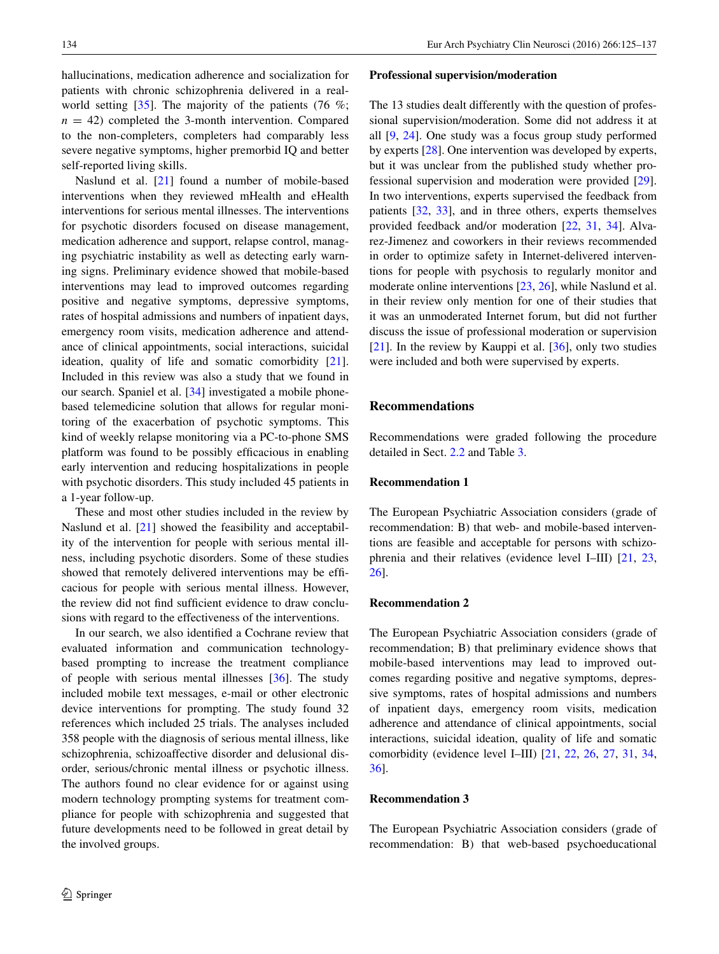hallucinations, medication adherence and socialization for patients with chronic schizophrenia delivered in a realworld setting  $[35]$  $[35]$ . The majority of the patients (76 %;  $n = 42$ ) completed the 3-month intervention. Compared to the non-completers, completers had comparably less severe negative symptoms, higher premorbid IQ and better self-reported living skills.

Naslund et al. [[21\]](#page-12-0) found a number of mobile-based interventions when they reviewed mHealth and eHealth interventions for serious mental illnesses. The interventions for psychotic disorders focused on disease management, medication adherence and support, relapse control, managing psychiatric instability as well as detecting early warning signs. Preliminary evidence showed that mobile-based interventions may lead to improved outcomes regarding positive and negative symptoms, depressive symptoms, rates of hospital admissions and numbers of inpatient days, emergency room visits, medication adherence and attendance of clinical appointments, social interactions, suicidal ideation, quality of life and somatic comorbidity [\[21](#page-12-0)]. Included in this review was also a study that we found in our search. Spaniel et al. [[34\]](#page-12-14) investigated a mobile phonebased telemedicine solution that allows for regular monitoring of the exacerbation of psychotic symptoms. This kind of weekly relapse monitoring via a PC-to-phone SMS platform was found to be possibly efficacious in enabling early intervention and reducing hospitalizations in people with psychotic disorders. This study included 45 patients in a 1-year follow-up.

These and most other studies included in the review by Naslund et al. [[21\]](#page-12-0) showed the feasibility and acceptability of the intervention for people with serious mental illness, including psychotic disorders. Some of these studies showed that remotely delivered interventions may be efficacious for people with serious mental illness. However, the review did not find sufficient evidence to draw conclusions with regard to the effectiveness of the interventions.

In our search, we also identified a Cochrane review that evaluated information and communication technologybased prompting to increase the treatment compliance of people with serious mental illnesses [\[36](#page-12-13)]. The study included mobile text messages, e-mail or other electronic device interventions for prompting. The study found 32 references which included 25 trials. The analyses included 358 people with the diagnosis of serious mental illness, like schizophrenia, schizoaffective disorder and delusional disorder, serious/chronic mental illness or psychotic illness. The authors found no clear evidence for or against using modern technology prompting systems for treatment compliance for people with schizophrenia and suggested that future developments need to be followed in great detail by the involved groups.

#### **Professional supervision/moderation**

The 13 studies dealt differently with the question of professional supervision/moderation. Some did not address it at all [[9,](#page-11-8) [24\]](#page-12-3). One study was a focus group study performed by experts [[28\]](#page-12-7). One intervention was developed by experts, but it was unclear from the published study whether professional supervision and moderation were provided [\[29](#page-12-8)]. In two interventions, experts supervised the feedback from patients [[32,](#page-12-11) [33](#page-12-12)], and in three others, experts themselves provided feedback and/or moderation [[22,](#page-12-1) [31,](#page-12-10) [34](#page-12-14)]. Alvarez-Jimenez and coworkers in their reviews recommended in order to optimize safety in Internet-delivered interventions for people with psychosis to regularly monitor and moderate online interventions [\[23](#page-12-2), [26](#page-12-5)], while Naslund et al. in their review only mention for one of their studies that it was an unmoderated Internet forum, but did not further discuss the issue of professional moderation or supervision [\[21](#page-12-0)]. In the review by Kauppi et al. [\[36](#page-12-13)], only two studies were included and both were supervised by experts.

## **Recommendations**

Recommendations were graded following the procedure detailed in Sect. [2.2](#page-4-1) and Table [3](#page-6-0).

#### **Recommendation 1**

The European Psychiatric Association considers (grade of recommendation: B) that web- and mobile-based interventions are feasible and acceptable for persons with schizophrenia and their relatives (evidence level I–III) [[21,](#page-12-0) [23,](#page-12-2) [26](#page-12-5)].

#### **Recommendation 2**

The European Psychiatric Association considers (grade of recommendation; B) that preliminary evidence shows that mobile-based interventions may lead to improved outcomes regarding positive and negative symptoms, depressive symptoms, rates of hospital admissions and numbers of inpatient days, emergency room visits, medication adherence and attendance of clinical appointments, social interactions, suicidal ideation, quality of life and somatic comorbidity (evidence level I–III) [[21,](#page-12-0) [22,](#page-12-1) [26,](#page-12-5) [27,](#page-12-6) [31,](#page-12-10) [34,](#page-12-14) [36](#page-12-13)].

### **Recommendation 3**

The European Psychiatric Association considers (grade of recommendation: B) that web-based psychoeducational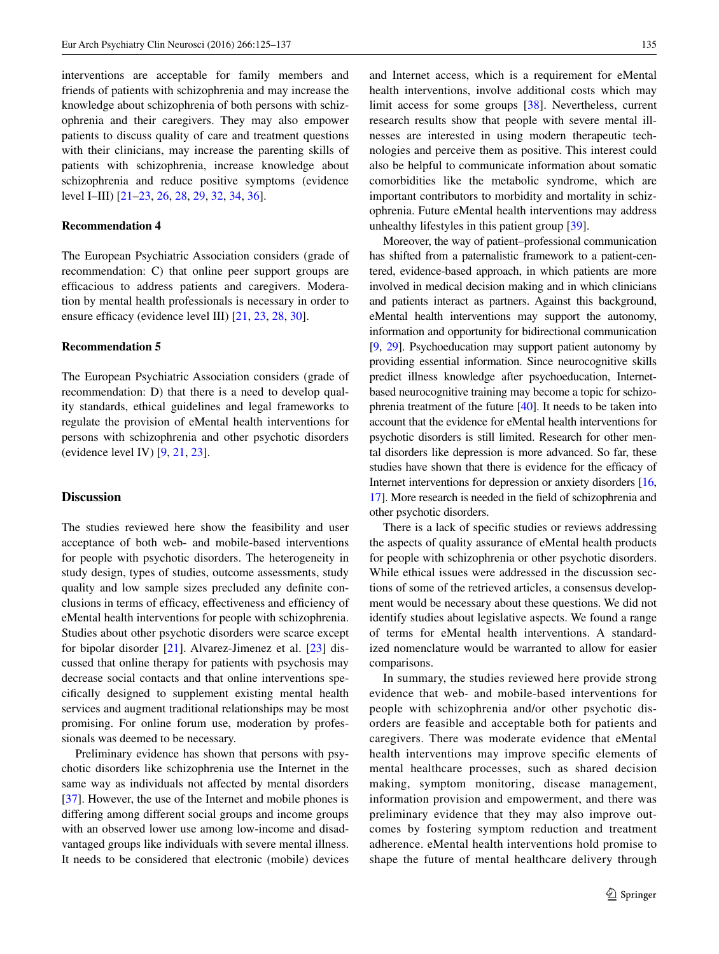interventions are acceptable for family members and friends of patients with schizophrenia and may increase the knowledge about schizophrenia of both persons with schizophrenia and their caregivers. They may also empower patients to discuss quality of care and treatment questions with their clinicians, may increase the parenting skills of patients with schizophrenia, increase knowledge about schizophrenia and reduce positive symptoms (evidence level I–III) [\[21](#page-12-0)[–23](#page-12-2), [26](#page-12-5), [28](#page-12-7), [29](#page-12-8), [32](#page-12-11), [34](#page-12-14), [36](#page-12-13)].

### **Recommendation 4**

The European Psychiatric Association considers (grade of recommendation: C) that online peer support groups are efficacious to address patients and caregivers. Moderation by mental health professionals is necessary in order to ensure efficacy (evidence level III) [\[21](#page-12-0), [23](#page-12-2), [28](#page-12-7), [30](#page-12-9)].

#### **Recommendation 5**

The European Psychiatric Association considers (grade of recommendation: D) that there is a need to develop quality standards, ethical guidelines and legal frameworks to regulate the provision of eMental health interventions for persons with schizophrenia and other psychotic disorders (evidence level IV) [\[9](#page-11-8), [21](#page-12-0), [23](#page-12-2)].

# **Discussion**

The studies reviewed here show the feasibility and user acceptance of both web- and mobile-based interventions for people with psychotic disorders. The heterogeneity in study design, types of studies, outcome assessments, study quality and low sample sizes precluded any definite conclusions in terms of efficacy, effectiveness and efficiency of eMental health interventions for people with schizophrenia. Studies about other psychotic disorders were scarce except for bipolar disorder [[21\]](#page-12-0). Alvarez-Jimenez et al. [[23\]](#page-12-2) discussed that online therapy for patients with psychosis may decrease social contacts and that online interventions specifically designed to supplement existing mental health services and augment traditional relationships may be most promising. For online forum use, moderation by professionals was deemed to be necessary.

Preliminary evidence has shown that persons with psychotic disorders like schizophrenia use the Internet in the same way as individuals not affected by mental disorders [\[37](#page-12-16)]. However, the use of the Internet and mobile phones is differing among different social groups and income groups with an observed lower use among low-income and disadvantaged groups like individuals with severe mental illness. It needs to be considered that electronic (mobile) devices and Internet access, which is a requirement for eMental health interventions, involve additional costs which may limit access for some groups [\[38](#page-12-17)]. Nevertheless, current research results show that people with severe mental illnesses are interested in using modern therapeutic technologies and perceive them as positive. This interest could also be helpful to communicate information about somatic comorbidities like the metabolic syndrome, which are important contributors to morbidity and mortality in schizophrenia. Future eMental health interventions may address unhealthy lifestyles in this patient group [[39\]](#page-12-18).

Moreover, the way of patient–professional communication has shifted from a paternalistic framework to a patient-centered, evidence-based approach, in which patients are more involved in medical decision making and in which clinicians and patients interact as partners. Against this background, eMental health interventions may support the autonomy, information and opportunity for bidirectional communication [\[9](#page-11-8), [29](#page-12-8)]. Psychoeducation may support patient autonomy by providing essential information. Since neurocognitive skills predict illness knowledge after psychoeducation, Internetbased neurocognitive training may become a topic for schizophrenia treatment of the future [[40](#page-12-19)]. It needs to be taken into account that the evidence for eMental health interventions for psychotic disorders is still limited. Research for other mental disorders like depression is more advanced. So far, these studies have shown that there is evidence for the efficacy of Internet interventions for depression or anxiety disorders [\[16,](#page-11-11) [17\]](#page-11-12). More research is needed in the field of schizophrenia and other psychotic disorders.

There is a lack of specific studies or reviews addressing the aspects of quality assurance of eMental health products for people with schizophrenia or other psychotic disorders. While ethical issues were addressed in the discussion sections of some of the retrieved articles, a consensus development would be necessary about these questions. We did not identify studies about legislative aspects. We found a range of terms for eMental health interventions. A standardized nomenclature would be warranted to allow for easier comparisons.

In summary, the studies reviewed here provide strong evidence that web- and mobile-based interventions for people with schizophrenia and/or other psychotic disorders are feasible and acceptable both for patients and caregivers. There was moderate evidence that eMental health interventions may improve specific elements of mental healthcare processes, such as shared decision making, symptom monitoring, disease management, information provision and empowerment, and there was preliminary evidence that they may also improve outcomes by fostering symptom reduction and treatment adherence. eMental health interventions hold promise to shape the future of mental healthcare delivery through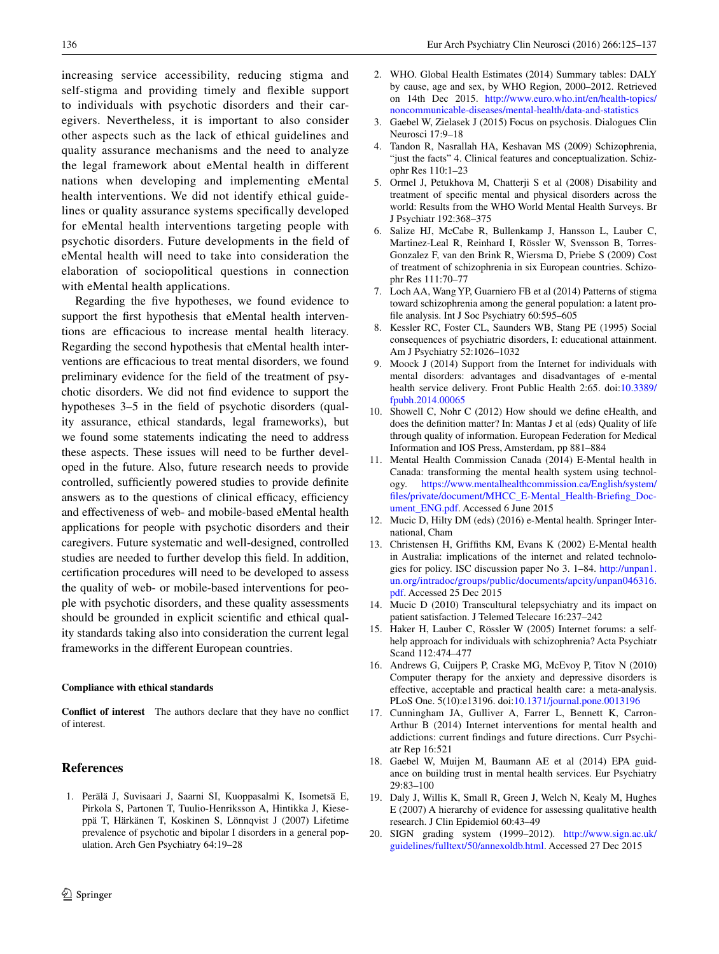increasing service accessibility, reducing stigma and self-stigma and providing timely and flexible support to individuals with psychotic disorders and their caregivers. Nevertheless, it is important to also consider other aspects such as the lack of ethical guidelines and quality assurance mechanisms and the need to analyze the legal framework about eMental health in different nations when developing and implementing eMental health interventions. We did not identify ethical guidelines or quality assurance systems specifically developed for eMental health interventions targeting people with psychotic disorders. Future developments in the field of eMental health will need to take into consideration the elaboration of sociopolitical questions in connection with eMental health applications.

Regarding the five hypotheses, we found evidence to support the first hypothesis that eMental health interventions are efficacious to increase mental health literacy. Regarding the second hypothesis that eMental health interventions are efficacious to treat mental disorders, we found preliminary evidence for the field of the treatment of psychotic disorders. We did not find evidence to support the hypotheses 3–5 in the field of psychotic disorders (quality assurance, ethical standards, legal frameworks), but we found some statements indicating the need to address these aspects. These issues will need to be further developed in the future. Also, future research needs to provide controlled, sufficiently powered studies to provide definite answers as to the questions of clinical efficacy, efficiency and effectiveness of web- and mobile-based eMental health applications for people with psychotic disorders and their caregivers. Future systematic and well-designed, controlled studies are needed to further develop this field. In addition, certification procedures will need to be developed to assess the quality of web- or mobile-based interventions for people with psychotic disorders, and these quality assessments should be grounded in explicit scientific and ethical quality standards taking also into consideration the current legal frameworks in the different European countries.

#### **Compliance with ethical standards**

**Conflict of interest** The authors declare that they have no conflict of interest.

## **References**

<span id="page-11-0"></span>1. Perälä J, Suvisaari J, Saarni SI, Kuoppasalmi K, Isometsä E, Pirkola S, Partonen T, Tuulio-Henriksson A, Hintikka J, Kieseppä T, Härkänen T, Koskinen S, Lönnqvist J (2007) Lifetime prevalence of psychotic and bipolar I disorders in a general population. Arch Gen Psychiatry 64:19–28

- <span id="page-11-1"></span>2. WHO. Global Health Estimates (2014) Summary tables: DALY by cause, age and sex, by WHO Region, 2000–2012. Retrieved on 14th Dec 2015. [http://www.euro.who.int/en/health-topics/](http://www.euro.who.int/en/health-topics/noncommunicable-diseases/mental-health/data-and-statistics) [noncommunicable-diseases/mental-health/data-and-statistics](http://www.euro.who.int/en/health-topics/noncommunicable-diseases/mental-health/data-and-statistics)
- <span id="page-11-2"></span>3. Gaebel W, Zielasek J (2015) Focus on psychosis. Dialogues Clin Neurosci 17:9–18
- <span id="page-11-3"></span>4. Tandon R, Nasrallah HA, Keshavan MS (2009) Schizophrenia, "just the facts" 4. Clinical features and conceptualization. Schizophr Res 110:1–23
- <span id="page-11-4"></span>5. Ormel J, Petukhova M, Chatterji S et al (2008) Disability and treatment of specific mental and physical disorders across the world: Results from the WHO World Mental Health Surveys. Br J Psychiatr 192:368–375
- <span id="page-11-5"></span>6. Salize HJ, McCabe R, Bullenkamp J, Hansson L, Lauber C, Martinez-Leal R, Reinhard I, Rössler W, Svensson B, Torres-Gonzalez F, van den Brink R, Wiersma D, Priebe S (2009) Cost of treatment of schizophrenia in six European countries. Schizophr Res 111:70–77
- <span id="page-11-6"></span>7. Loch AA, Wang YP, Guarniero FB et al (2014) Patterns of stigma toward schizophrenia among the general population: a latent profile analysis. Int J Soc Psychiatry 60:595–605
- <span id="page-11-7"></span>8. Kessler RC, Foster CL, Saunders WB, Stang PE (1995) Social consequences of psychiatric disorders, I: educational attainment. Am J Psychiatry 52:1026–1032
- <span id="page-11-8"></span>9. Moock J (2014) Support from the Internet for individuals with mental disorders: advantages and disadvantages of e-mental health service delivery. Front Public Health 2:65. doi[:10.3389/](http://dx.doi.org/10.3389/fpubh.2014.00065) [fpubh.2014.00065](http://dx.doi.org/10.3389/fpubh.2014.00065)
- <span id="page-11-13"></span>10. Showell C, Nohr C (2012) How should we define eHealth, and does the definition matter? In: Mantas J et al (eds) Quality of life through quality of information. European Federation for Medical Information and IOS Press, Amsterdam, pp 881–884
- <span id="page-11-14"></span>11. Mental Health Commission Canada (2014) E-Mental health in Canada: transforming the mental health system using technology. [https://www.mentalhealthcommission.ca/English/system/](https://www.mentalhealthcommission.ca/English/system/files/private/document/MHCC_E-Mental_Health-Briefing_Document_ENG.pdf) [files/private/document/MHCC\\_E-Mental\\_Health-Briefing\\_Doc](https://www.mentalhealthcommission.ca/English/system/files/private/document/MHCC_E-Mental_Health-Briefing_Document_ENG.pdf)[ument\\_ENG.pdf.](https://www.mentalhealthcommission.ca/English/system/files/private/document/MHCC_E-Mental_Health-Briefing_Document_ENG.pdf) Accessed 6 June 2015
- <span id="page-11-15"></span>12. Mucic D, Hilty DM (eds) (2016) e-Mental health. Springer International, Cham
- <span id="page-11-16"></span>13. Christensen H, Griffiths KM, Evans K (2002) E-Mental health in Australia: implications of the internet and related technologies for policy. ISC discussion paper No 3. 1–84. [http://unpan1.](http://unpan1.un.org/intradoc/groups/public/documents/apcity/unpan046316.pdf) [un.org/intradoc/groups/public/documents/apcity/unpan046316.](http://unpan1.un.org/intradoc/groups/public/documents/apcity/unpan046316.pdf) [pdf](http://unpan1.un.org/intradoc/groups/public/documents/apcity/unpan046316.pdf). Accessed 25 Dec 2015
- <span id="page-11-9"></span>14. Mucic D (2010) Transcultural telepsychiatry and its impact on patient satisfaction. J Telemed Telecare 16:237–242
- <span id="page-11-10"></span>15. Haker H, Lauber C, Rössler W (2005) Internet forums: a selfhelp approach for individuals with schizophrenia? Acta Psychiatr Scand 112:474–477
- <span id="page-11-11"></span>16. Andrews G, Cuijpers P, Craske MG, McEvoy P, Titov N (2010) Computer therapy for the anxiety and depressive disorders is effective, acceptable and practical health care: a meta-analysis. PLoS One. 5(10):e13196. doi:[10.1371/journal.pone.0013196](http://dx.doi.org/10.1371/journal.pone.0013196)
- <span id="page-11-12"></span>17. Cunningham JA, Gulliver A, Farrer L, Bennett K, Carron-Arthur B (2014) Internet interventions for mental health and addictions: current findings and future directions. Curr Psychiatr Rep 16:521
- <span id="page-11-17"></span>18. Gaebel W, Muijen M, Baumann AE et al (2014) EPA guidance on building trust in mental health services. Eur Psychiatry 29:83–100
- <span id="page-11-18"></span>19. Daly J, Willis K, Small R, Green J, Welch N, Kealy M, Hughes E (2007) A hierarchy of evidence for assessing qualitative health research. J Clin Epidemiol 60:43–49
- <span id="page-11-19"></span>20. SIGN grading system (1999–2012). [http://www.sign.ac.uk/](http://www.sign.ac.uk/guidelines/fulltext/50/annexoldb.html) [guidelines/fulltext/50/annexoldb.html.](http://www.sign.ac.uk/guidelines/fulltext/50/annexoldb.html) Accessed 27 Dec 2015